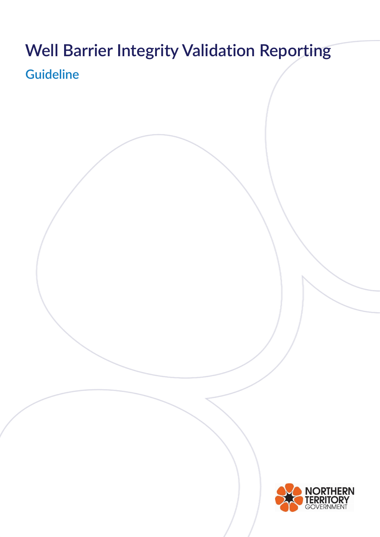# **Well Barrier Integrity Validation Reporting Guideline**

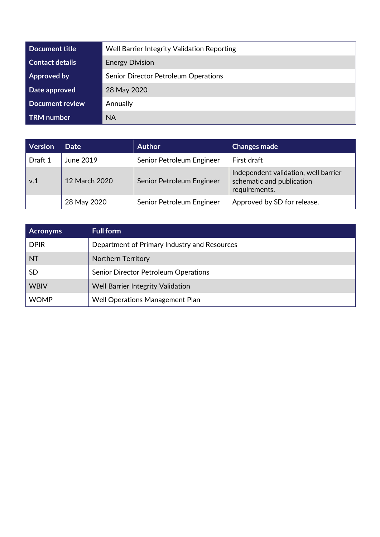| Document title         | Well Barrier Integrity Validation Reporting |  |
|------------------------|---------------------------------------------|--|
| <b>Contact details</b> | <b>Energy Division</b>                      |  |
| <b>Approved by</b>     | Senior Director Petroleum Operations        |  |
| Date approved          | 28 May 2020                                 |  |
| <b>Document review</b> | Annually                                    |  |
| <b>TRM</b> number      | <b>NA</b>                                   |  |

| <b>Version</b> | <b>Date</b>   | <b>Author</b>             | <b>Changes made</b>                                                                |
|----------------|---------------|---------------------------|------------------------------------------------------------------------------------|
| Draft 1        | June 2019     | Senior Petroleum Engineer | First draft                                                                        |
| v.1            | 12 March 2020 | Senior Petroleum Engineer | Independent validation, well barrier<br>schematic and publication<br>requirements. |
|                | 28 May 2020   | Senior Petroleum Engineer | Approved by SD for release.                                                        |

| <b>Acronyms</b> | <b>Full form</b>                             |
|-----------------|----------------------------------------------|
| <b>DPIR</b>     | Department of Primary Industry and Resources |
| <b>NT</b>       | <b>Northern Territory</b>                    |
| <b>SD</b>       | Senior Director Petroleum Operations         |
| <b>WBIV</b>     | <b>Well Barrier Integrity Validation</b>     |
| <b>WOMP</b>     | Well Operations Management Plan              |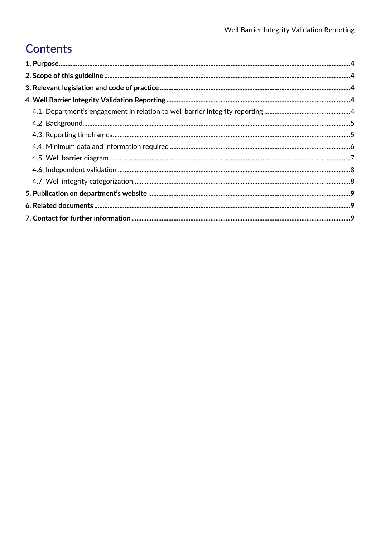# **Contents**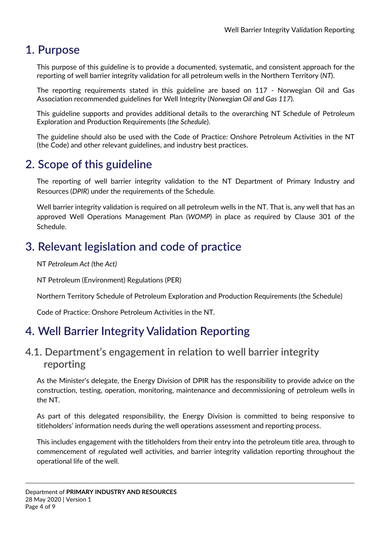## <span id="page-3-0"></span>**1. Purpose**

This purpose of this guideline is to provide a documented, systematic, and consistent approach for the reporting of well barrier integrity validation for all petroleum wells in the Northern Territory (*NT*).

The reporting requirements stated in this guideline are based on 117 - Norwegian Oil and Gas Association recommended guidelines for Well Integrity (*Norwegian Oil and Gas 117*).

This guideline supports and provides additional details to the overarching NT Schedule of Petroleum Exploration and Production Requirements (*the Schedule*).

The guideline should also be used with the Code of Practice: Onshore Petroleum Activities in the NT (the Code) and other relevant guidelines, and industry best practices.

# <span id="page-3-1"></span>**2. Scope of this guideline**

The reporting of well barrier integrity validation to the NT Department of Primary Industry and Resources (*DPIR*) under the requirements of the Schedule.

Well barrier integrity validation is required on all petroleum wells in the NT. That is, any well that has an approved Well Operations Management Plan (*WOMP*) in place as required by Clause 301 of the Schedule.

# <span id="page-3-2"></span>**3. Relevant legislation and code of practice**

NT *Petroleum Act (*the *Act)*

NT Petroleum (Environment) Regulations (PER)

Northern Territory Schedule of Petroleum Exploration and Production Requirements (the Schedule)

Code of Practice: Onshore Petroleum Activities in the NT.

# <span id="page-3-3"></span>**4. Well Barrier Integrity Validation Reporting**

#### <span id="page-3-4"></span>**4.1. Department's engagement in relation to well barrier integrity reporting**

As the Minister's delegate, the Energy Division of DPIR has the responsibility to provide advice on the construction, testing, operation, monitoring, maintenance and decommissioning of petroleum wells in the NT.

As part of this delegated responsibility, the Energy Division is committed to being responsive to titleholders' information needs during the well operations assessment and reporting process.

This includes engagement with the titleholders from their entry into the petroleum title area, through to commencement of regulated well activities, and barrier integrity validation reporting throughout the operational life of the well.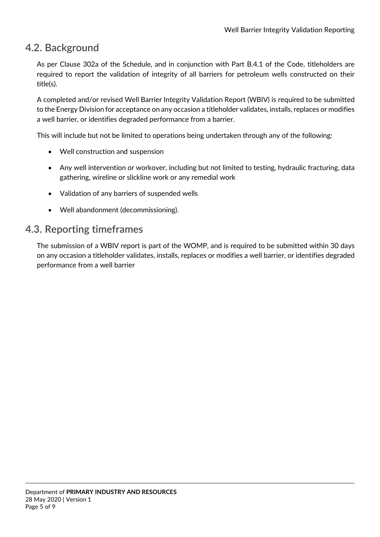#### <span id="page-4-0"></span>**4.2. Background**

As per Clause 302a of the Schedule, and in conjunction with Part B.4.1 of the Code, titleholders are required to report the validation of integrity of all barriers for petroleum wells constructed on their title(s).

A completed and/or revised Well Barrier Integrity Validation Report (WBIV) is required to be submitted to the Energy Division for acceptance on any occasion a titleholder validates, installs, replaces or modifies a well barrier, or identifies degraded performance from a barrier.

This will include but not be limited to operations being undertaken through any of the following:

- Well construction and suspension
- Any well intervention or workover, including but not limited to testing, hydraulic fracturing, data gathering, wireline or slickline work or any remedial work
- Validation of any barriers of suspended wells
- Well abandonment (decommissioning).

#### <span id="page-4-1"></span>**4.3. Reporting timeframes**

The submission of a WBIV report is part of the WOMP, and is required to be submitted within 30 days on any occasion a titleholder validates, installs, replaces or modifies a well barrier, or identifies degraded performance from a well barrier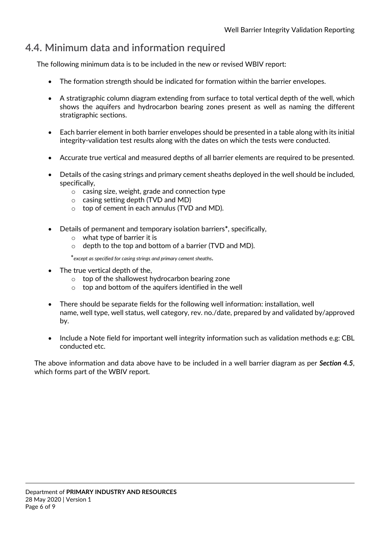### <span id="page-5-0"></span>**4.4. Minimum data and information required**

The following minimum data is to be included in the new or revised WBIV report:

- The formation strength should be indicated for formation within the barrier envelopes.
- A stratigraphic column diagram extending from surface to total vertical depth of the well, which shows the aquifers and hydrocarbon bearing zones present as well as naming the different stratigraphic sections.
- Each barrier element in both barrier envelopes should be presented in a table along with its initial integrity-validation test results along with the dates on which the tests were conducted.
- Accurate true vertical and measured depths of all barrier elements are required to be presented.
- Details of the casing strings and primary cement sheaths deployed in the well should be included, specifically,
	- o casing size, weight, grade and connection type
	- o casing setting depth (TVD and MD)
	- o top of cement in each annulus (TVD and MD).
- Details of permanent and temporary isolation barriers**\***, specifically,
	- o what type of barrier it is
	- o depth to the top and bottom of a barrier (TVD and MD).

\**except as specified for casing strings and primary cement sheaths*.

- The true vertical depth of the.
	- o top of the shallowest hydrocarbon bearing zone
	- $\circ$  top and bottom of the aquifers identified in the well
- There should be separate fields for the following well information: installation, well name, well type, well status, well category, rev. no./date, prepared by and validated by/approved by.
- Include a Note field for important well integrity information such as validation methods e.g: CBL conducted etc.

The above information and data above have to be included in a well barrier diagram as per *Section 4.5*, which forms part of the WBIV report.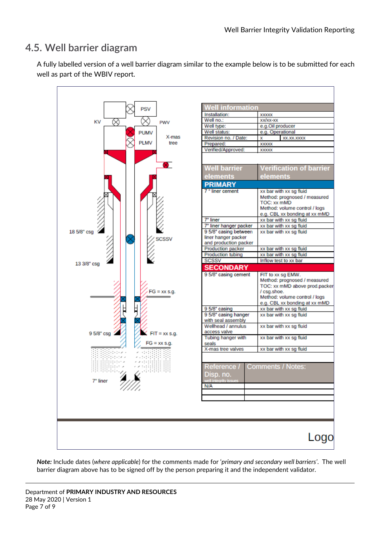#### <span id="page-6-0"></span>**4.5. Well barrier diagram**

A fully labelled version of a well barrier diagram similar to the example below is to be submitted for each well as part of the WBIV report.



*Note:* Include dates (*where applicable*) for the comments made for '*primary and secondary well barriers'*. The well barrier diagram above has to be signed off by the person preparing it and the independent validator.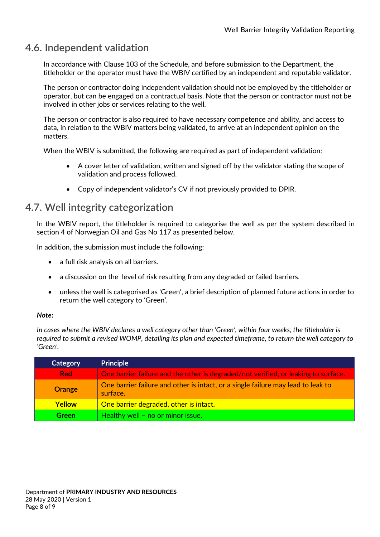#### <span id="page-7-0"></span>**4.6. Independent validation**

In accordance with Clause 103 of the Schedule, and before submission to the Department, the titleholder or the operator must have the WBIV certified by an independent and reputable validator.

The person or contractor doing independent validation should not be employed by the titleholder or operator, but can be engaged on a contractual basis. Note that the person or contractor must not be involved in other jobs or services relating to the well.

The person or contractor is also required to have necessary competence and ability, and access to data, in relation to the WBIV matters being validated, to arrive at an independent opinion on the matters.

When the WBIV is submitted, the following are required as part of independent validation:

- A cover letter of validation, written and signed off by the validator stating the scope of validation and process followed.
- Copy of independent validator's CV if not previously provided to DPIR.

#### <span id="page-7-1"></span>**4.7. Well integrity categorization**

In the WBIV report, the titleholder is required to categorise the well as per the system described in section 4 of Norwegian Oil and Gas No 117 as presented below.

In addition, the submission must include the following:

- a full risk analysis on all barriers.
- a discussion on the level of risk resulting from any degraded or failed barriers.
- unless the well is categorised as 'Green', a brief description of planned future actions in order to return the well category to 'Green'.

#### *Note:*

*In cases where the WBIV declares a well category other than 'Green', within four weeks, the titleholder is required to submit a revised WOMP, detailing its plan and expected timeframe, to return the well category to 'Green'.*

| <b>Category</b> | <b>Principle</b>                                                                             |
|-----------------|----------------------------------------------------------------------------------------------|
| <b>Red</b>      | One barrier failure and the other is degraded/not verified, or leaking to surface.           |
| <b>Orange</b>   | One barrier failure and other is intact, or a single failure may lead to leak to<br>surface. |
| <b>Yellow</b>   | One barrier degraded, other is intact.                                                       |
| Green           | Healthy well - no or minor issue.                                                            |